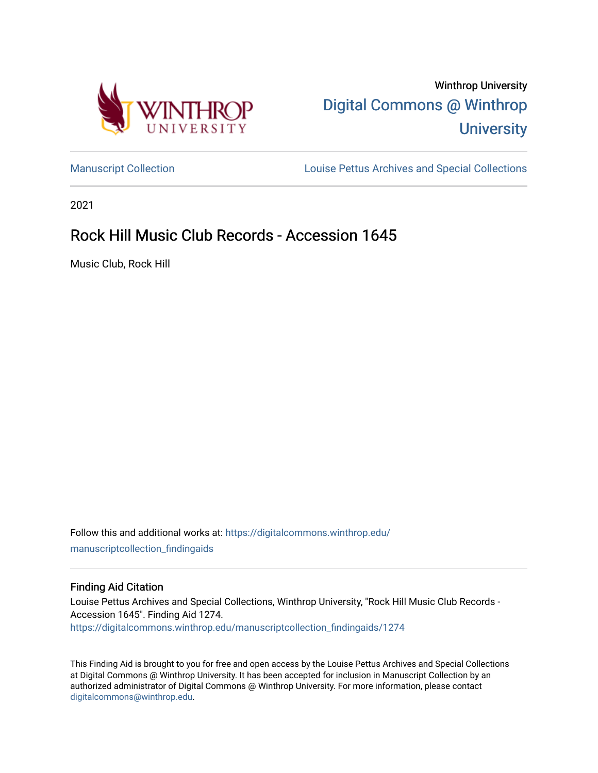

Winthrop University [Digital Commons @ Winthrop](https://digitalcommons.winthrop.edu/)  **University** 

[Manuscript Collection](https://digitalcommons.winthrop.edu/manuscriptcollection_findingaids) **Louise Pettus Archives and Special Collections** 

2021

# Rock Hill Music Club Records - Accession 1645

Music Club, Rock Hill

Follow this and additional works at: [https://digitalcommons.winthrop.edu/](https://digitalcommons.winthrop.edu/manuscriptcollection_findingaids?utm_source=digitalcommons.winthrop.edu%2Fmanuscriptcollection_findingaids%2F1274&utm_medium=PDF&utm_campaign=PDFCoverPages) [manuscriptcollection\\_findingaids](https://digitalcommons.winthrop.edu/manuscriptcollection_findingaids?utm_source=digitalcommons.winthrop.edu%2Fmanuscriptcollection_findingaids%2F1274&utm_medium=PDF&utm_campaign=PDFCoverPages) 

#### Finding Aid Citation

Louise Pettus Archives and Special Collections, Winthrop University, "Rock Hill Music Club Records - Accession 1645". Finding Aid 1274. [https://digitalcommons.winthrop.edu/manuscriptcollection\\_findingaids/1274](https://digitalcommons.winthrop.edu/manuscriptcollection_findingaids/1274?utm_source=digitalcommons.winthrop.edu%2Fmanuscriptcollection_findingaids%2F1274&utm_medium=PDF&utm_campaign=PDFCoverPages) 

This Finding Aid is brought to you for free and open access by the Louise Pettus Archives and Special Collections at Digital Commons @ Winthrop University. It has been accepted for inclusion in Manuscript Collection by an authorized administrator of Digital Commons @ Winthrop University. For more information, please contact [digitalcommons@winthrop.edu](mailto:digitalcommons@winthrop.edu).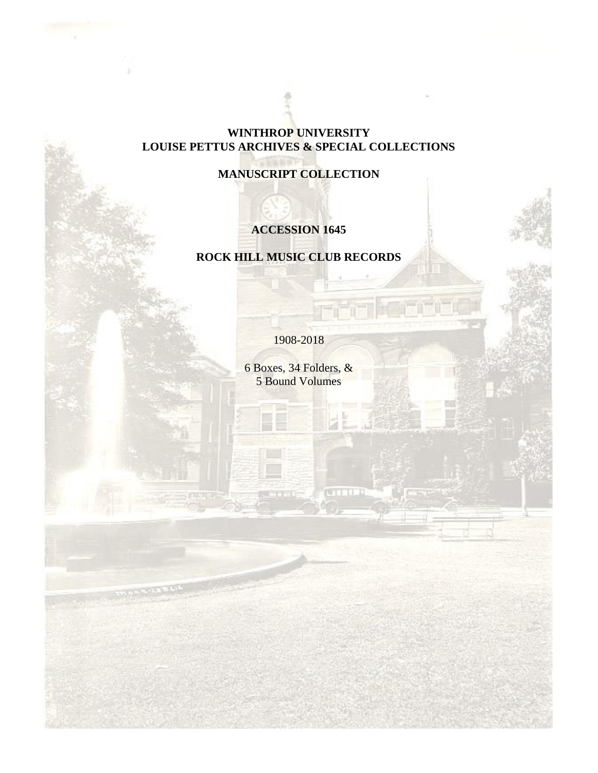## **WINTHROP UNIVERSITY LOUISE PETTUS ARCHIVES & SPECIAL COLLECTIONS**

**MANUSCRIPT COLLECTION**

## **ACCESSION 1645**

## **ROCK HILL MUSIC CLUB RECORDS**

1908-2018

6 Boxes, 34 Folders, & 5 Bound Volumes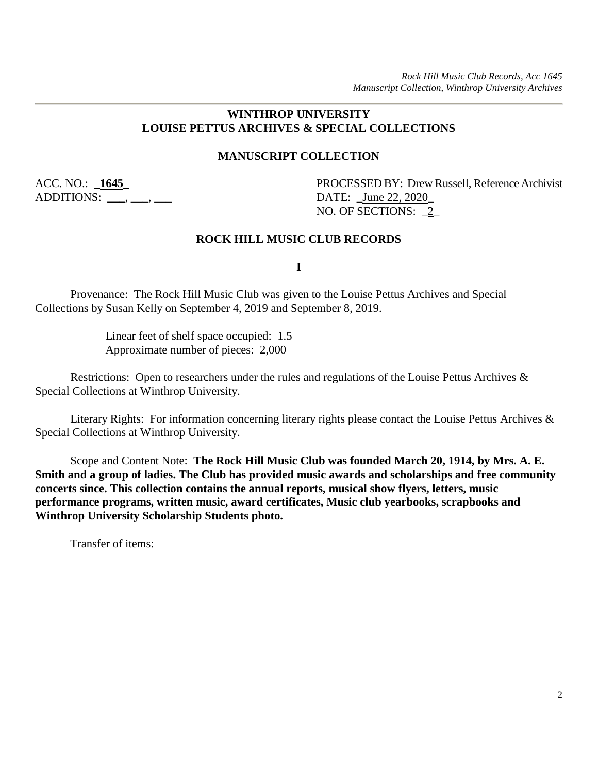## **WINTHROP UNIVERSITY LOUISE PETTUS ARCHIVES & SPECIAL COLLECTIONS**

#### **MANUSCRIPT COLLECTION**

ADDITIONS: \_\_\_\_, \_\_\_, \_\_\_\_

ACC. NO.: **\_1645\_** PROCESSED BY: Drew Russell, Reference Archivist NO. OF SECTIONS: \_2\_

#### **ROCK HILL MUSIC CLUB RECORDS**

**I**

Provenance: The Rock Hill Music Club was given to the Louise Pettus Archives and Special Collections by Susan Kelly on September 4, 2019 and September 8, 2019.

> Linear feet of shelf space occupied: 1.5 Approximate number of pieces: 2,000

Restrictions: Open to researchers under the rules and regulations of the Louise Pettus Archives & Special Collections at Winthrop University.

Literary Rights: For information concerning literary rights please contact the Louise Pettus Archives & Special Collections at Winthrop University.

Scope and Content Note: **The Rock Hill Music Club was founded March 20, 1914, by Mrs. A. E. Smith and a group of ladies. The Club has provided music awards and scholarships and free community concerts since. This collection contains the annual reports, musical show flyers, letters, music performance programs, written music, award certificates, Music club yearbooks, scrapbooks and Winthrop University Scholarship Students photo.**

Transfer of items: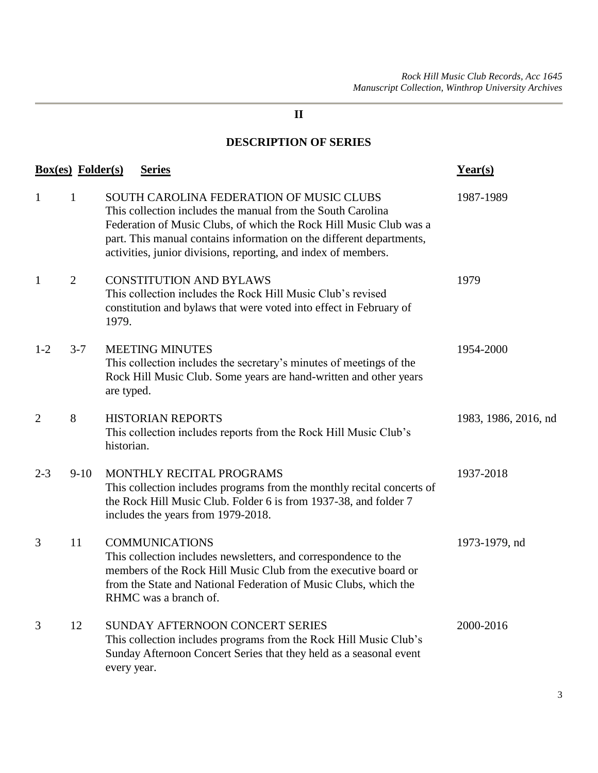## **DESCRIPTION OF SERIES**

| <b>Box(es)</b> Folder(s) |                | <b>Series</b>                                                                                                                                                                                                                                                                                                           | Year(s)              |
|--------------------------|----------------|-------------------------------------------------------------------------------------------------------------------------------------------------------------------------------------------------------------------------------------------------------------------------------------------------------------------------|----------------------|
| $\mathbf{1}$             | 1              | SOUTH CAROLINA FEDERATION OF MUSIC CLUBS<br>This collection includes the manual from the South Carolina<br>Federation of Music Clubs, of which the Rock Hill Music Club was a<br>part. This manual contains information on the different departments,<br>activities, junior divisions, reporting, and index of members. | 1987-1989            |
| $\mathbf{1}$             | $\overline{2}$ | <b>CONSTITUTION AND BYLAWS</b><br>This collection includes the Rock Hill Music Club's revised<br>constitution and bylaws that were voted into effect in February of<br>1979.                                                                                                                                            | 1979                 |
| $1 - 2$                  | $3 - 7$        | <b>MEETING MINUTES</b><br>This collection includes the secretary's minutes of meetings of the<br>Rock Hill Music Club. Some years are hand-written and other years<br>are typed.                                                                                                                                        | 1954-2000            |
| $\overline{2}$           | 8              | <b>HISTORIAN REPORTS</b><br>This collection includes reports from the Rock Hill Music Club's<br>historian.                                                                                                                                                                                                              | 1983, 1986, 2016, nd |
| $2 - 3$                  | $9-10$         | MONTHLY RECITAL PROGRAMS<br>This collection includes programs from the monthly recital concerts of<br>the Rock Hill Music Club. Folder 6 is from 1937-38, and folder 7<br>includes the years from 1979-2018.                                                                                                            | 1937-2018            |
| 3                        | 11             | <b>COMMUNICATIONS</b><br>This collection includes newsletters, and correspondence to the<br>members of the Rock Hill Music Club from the executive board or<br>from the State and National Federation of Music Clubs, which the<br>RHMC was a branch of.                                                                | 1973-1979, nd        |
| 3                        | 12             | SUNDAY AFTERNOON CONCERT SERIES<br>This collection includes programs from the Rock Hill Music Club's<br>Sunday Afternoon Concert Series that they held as a seasonal event<br>every year.                                                                                                                               | 2000-2016            |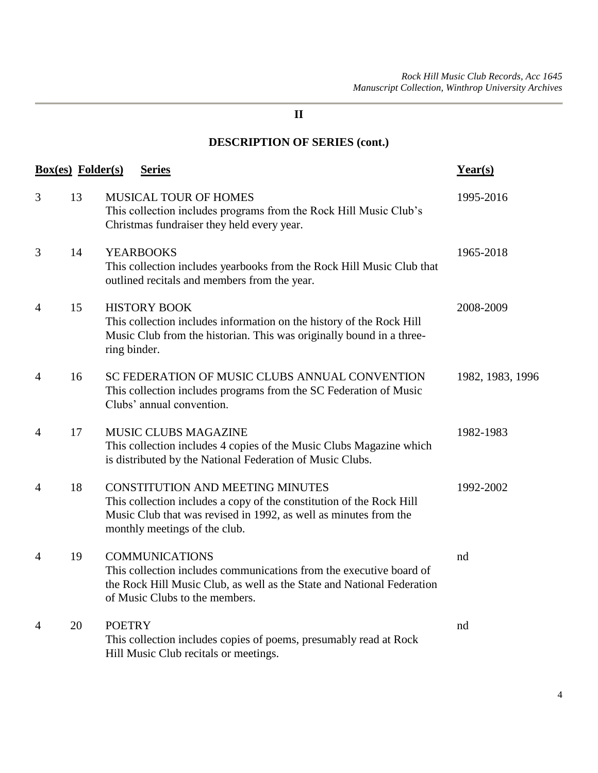# **DESCRIPTION OF SERIES (cont.)**

| <b>Box(es)</b> Folder(s) |    | <b>Series</b>                                                                                                                                                                                                        | Year(s)          |
|--------------------------|----|----------------------------------------------------------------------------------------------------------------------------------------------------------------------------------------------------------------------|------------------|
| 3                        | 13 | <b>MUSICAL TOUR OF HOMES</b><br>This collection includes programs from the Rock Hill Music Club's<br>Christmas fundraiser they held every year.                                                                      | 1995-2016        |
| 3                        | 14 | <b>YEARBOOKS</b><br>This collection includes yearbooks from the Rock Hill Music Club that<br>outlined recitals and members from the year.                                                                            | 1965-2018        |
| $\overline{4}$           | 15 | <b>HISTORY BOOK</b><br>This collection includes information on the history of the Rock Hill<br>Music Club from the historian. This was originally bound in a three-<br>ring binder.                                  | 2008-2009        |
| $\overline{4}$           | 16 | SC FEDERATION OF MUSIC CLUBS ANNUAL CONVENTION<br>This collection includes programs from the SC Federation of Music<br>Clubs' annual convention.                                                                     | 1982, 1983, 1996 |
| $\overline{4}$           | 17 | <b>MUSIC CLUBS MAGAZINE</b><br>This collection includes 4 copies of the Music Clubs Magazine which<br>is distributed by the National Federation of Music Clubs.                                                      | 1982-1983        |
| $\overline{4}$           | 18 | <b>CONSTITUTION AND MEETING MINUTES</b><br>This collection includes a copy of the constitution of the Rock Hill<br>Music Club that was revised in 1992, as well as minutes from the<br>monthly meetings of the club. | 1992-2002        |
| $\overline{4}$           | 19 | <b>COMMUNICATIONS</b><br>This collection includes communications from the executive board of<br>the Rock Hill Music Club, as well as the State and National Federation<br>of Music Clubs to the members.             | nd               |
| 4                        | 20 | <b>POETRY</b><br>This collection includes copies of poems, presumably read at Rock<br>Hill Music Club recitals or meetings.                                                                                          | nd               |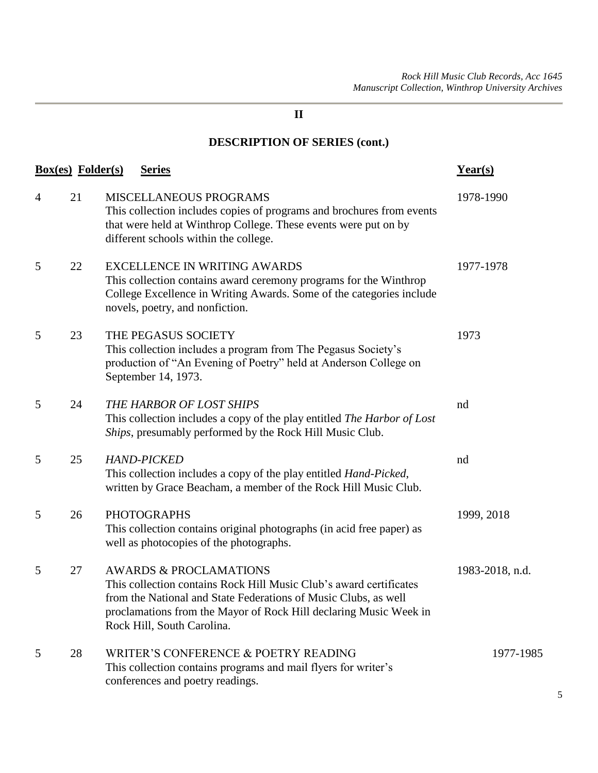# **DESCRIPTION OF SERIES (cont.)**

|   | <u>Box(es)</u> Folder(s) | <b>Series</b>                                                                                                                                                                                                                                                                 | <u>Year(s)</u>  |
|---|--------------------------|-------------------------------------------------------------------------------------------------------------------------------------------------------------------------------------------------------------------------------------------------------------------------------|-----------------|
| 4 | 21                       | MISCELLANEOUS PROGRAMS<br>This collection includes copies of programs and brochures from events<br>that were held at Winthrop College. These events were put on by<br>different schools within the college.                                                                   | 1978-1990       |
| 5 | 22                       | <b>EXCELLENCE IN WRITING AWARDS</b><br>This collection contains award ceremony programs for the Winthrop<br>College Excellence in Writing Awards. Some of the categories include<br>novels, poetry, and nonfiction.                                                           | 1977-1978       |
| 5 | 23                       | THE PEGASUS SOCIETY<br>This collection includes a program from The Pegasus Society's<br>production of "An Evening of Poetry" held at Anderson College on<br>September 14, 1973.                                                                                               | 1973            |
| 5 | 24                       | THE HARBOR OF LOST SHIPS<br>This collection includes a copy of the play entitled The Harbor of Lost<br>Ships, presumably performed by the Rock Hill Music Club.                                                                                                               | nd              |
| 5 | 25                       | <b>HAND-PICKED</b><br>This collection includes a copy of the play entitled <i>Hand-Picked</i> ,<br>written by Grace Beacham, a member of the Rock Hill Music Club.                                                                                                            | nd              |
| 5 | 26                       | <b>PHOTOGRAPHS</b><br>This collection contains original photographs (in acid free paper) as<br>well as photocopies of the photographs.                                                                                                                                        | 1999, 2018      |
| 5 | 27                       | <b>AWARDS &amp; PROCLAMATIONS</b><br>This collection contains Rock Hill Music Club's award certificates<br>from the National and State Federations of Music Clubs, as well<br>proclamations from the Mayor of Rock Hill declaring Music Week in<br>Rock Hill, South Carolina. | 1983-2018, n.d. |
| 5 | 28                       | WRITER'S CONFERENCE & POETRY READING<br>This collection contains programs and mail flyers for writer's<br>conferences and poetry readings.                                                                                                                                    | 1977-1985       |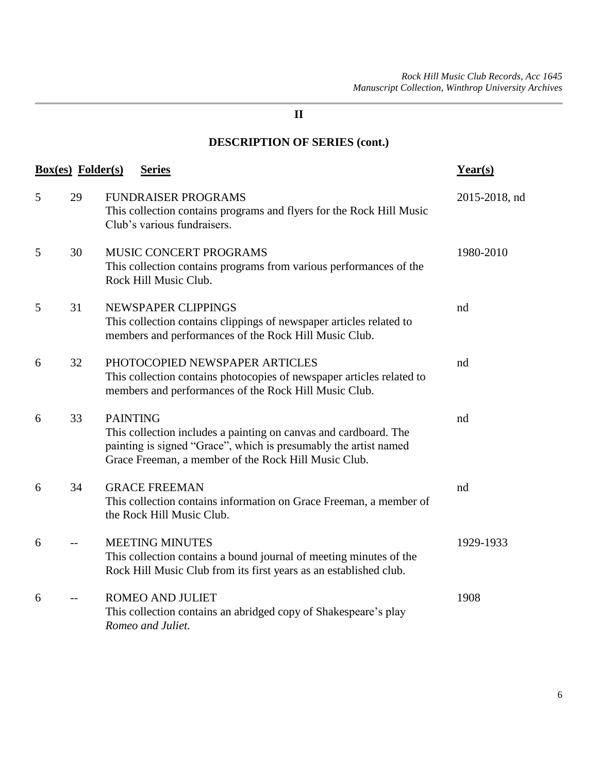# **DESCRIPTION OF SERIES (cont.)**

| <b>Box(es)</b> Folder(s) |      | <b>Series</b>                                                                                                                                                                                                   | $Year(s)$     |
|--------------------------|------|-----------------------------------------------------------------------------------------------------------------------------------------------------------------------------------------------------------------|---------------|
| 5                        | 29   | <b>FUNDRAISER PROGRAMS</b><br>This collection contains programs and flyers for the Rock Hill Music<br>Club's various fundraisers.                                                                               | 2015-2018, nd |
| 5                        | 30   | MUSIC CONCERT PROGRAMS<br>This collection contains programs from various performances of the<br>Rock Hill Music Club.                                                                                           | 1980-2010     |
| 5                        | 31   | NEWSPAPER CLIPPINGS<br>This collection contains clippings of newspaper articles related to<br>members and performances of the Rock Hill Music Club.                                                             | nd            |
| 6                        | 32   | PHOTOCOPIED NEWSPAPER ARTICLES<br>This collection contains photocopies of newspaper articles related to<br>members and performances of the Rock Hill Music Club.                                                | nd            |
| 6                        | 33   | <b>PAINTING</b><br>This collection includes a painting on canvas and cardboard. The<br>painting is signed "Grace", which is presumably the artist named<br>Grace Freeman, a member of the Rock Hill Music Club. | nd            |
| 6                        | 34   | <b>GRACE FREEMAN</b><br>This collection contains information on Grace Freeman, a member of<br>the Rock Hill Music Club.                                                                                         | nd            |
| 6                        | $-$  | <b>MEETING MINUTES</b><br>This collection contains a bound journal of meeting minutes of the<br>Rock Hill Music Club from its first years as an established club.                                               | 1929-1933     |
| 6                        | $-1$ | <b>ROMEO AND JULIET</b><br>This collection contains an abridged copy of Shakespeare's play<br>Romeo and Juliet.                                                                                                 | 1908          |